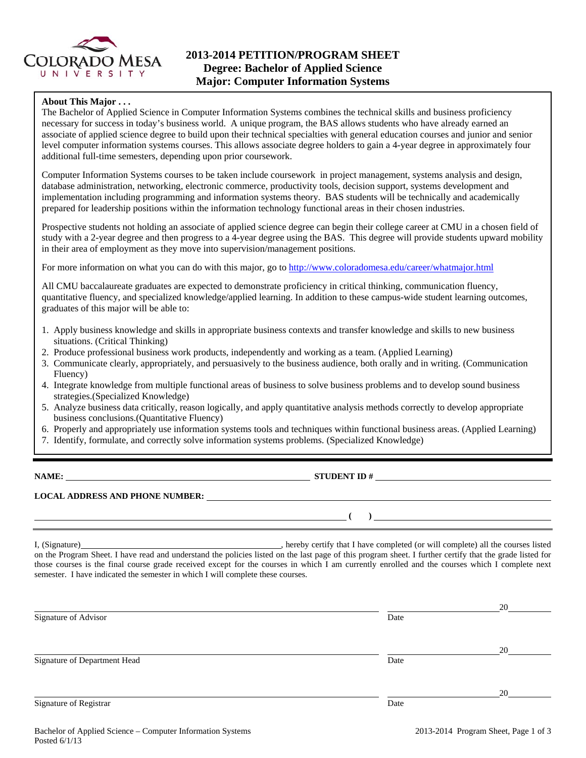

# **2013-2014 PETITION/PROGRAM SHEET Degree: Bachelor of Applied Science Major: Computer Information Systems**

## **About This Major . . .**

The Bachelor of Applied Science in Computer Information Systems combines the technical skills and business proficiency necessary for success in today's business world. A unique program, the BAS allows students who have already earned an associate of applied science degree to build upon their technical specialties with general education courses and junior and senior level computer information systems courses. This allows associate degree holders to gain a 4-year degree in approximately four additional full-time semesters, depending upon prior coursework.

Computer Information Systems courses to be taken include coursework in project management, systems analysis and design, database administration, networking, electronic commerce, productivity tools, decision support, systems development and implementation including programming and information systems theory. BAS students will be technically and academically prepared for leadership positions within the information technology functional areas in their chosen industries.

Prospective students not holding an associate of applied science degree can begin their college career at CMU in a chosen field of study with a 2-year degree and then progress to a 4-year degree using the BAS. This degree will provide students upward mobility in their area of employment as they move into supervision/management positions.

For more information on what you can do with this major, go to http://www.coloradomesa.edu/career/whatmajor.html

All CMU baccalaureate graduates are expected to demonstrate proficiency in critical thinking, communication fluency, quantitative fluency, and specialized knowledge/applied learning. In addition to these campus-wide student learning outcomes, graduates of this major will be able to:

- 1. Apply business knowledge and skills in appropriate business contexts and transfer knowledge and skills to new business situations. (Critical Thinking)
- 2. Produce professional business work products, independently and working as a team. (Applied Learning)
- 3. Communicate clearly, appropriately, and persuasively to the business audience, both orally and in writing. (Communication Fluency)
- 4. Integrate knowledge from multiple functional areas of business to solve business problems and to develop sound business strategies.(Specialized Knowledge)
- 5. Analyze business data critically, reason logically, and apply quantitative analysis methods correctly to develop appropriate business conclusions.(Quantitative Fluency)
- 6. Properly and appropriately use information systems tools and techniques within functional business areas. (Applied Learning)
- 7. Identify, formulate, and correctly solve information systems problems. (Specialized Knowledge)

| ı<br>v |  |
|--------|--|
|        |  |

**STUDENT ID #** 

 $($   $)$   $=$ 

# **LOCAL ADDRESS AND PHONE NUMBER:**

I, (Signature) , hereby certify that I have completed (or will complete) all the courses listed on the Program Sheet. I have read and understand the policies listed on the last page of this program sheet. I further certify that the grade listed for those courses is the final course grade received except for the courses in which I am currently enrolled and the courses which I complete next semester. I have indicated the semester in which I will complete these courses.

|                              |      | 20 |
|------------------------------|------|----|
| Signature of Advisor         | Date |    |
|                              |      |    |
|                              |      | 20 |
| Signature of Department Head | Date |    |
|                              |      |    |
|                              |      | 20 |
| Signature of Registrar       | Date |    |
|                              |      |    |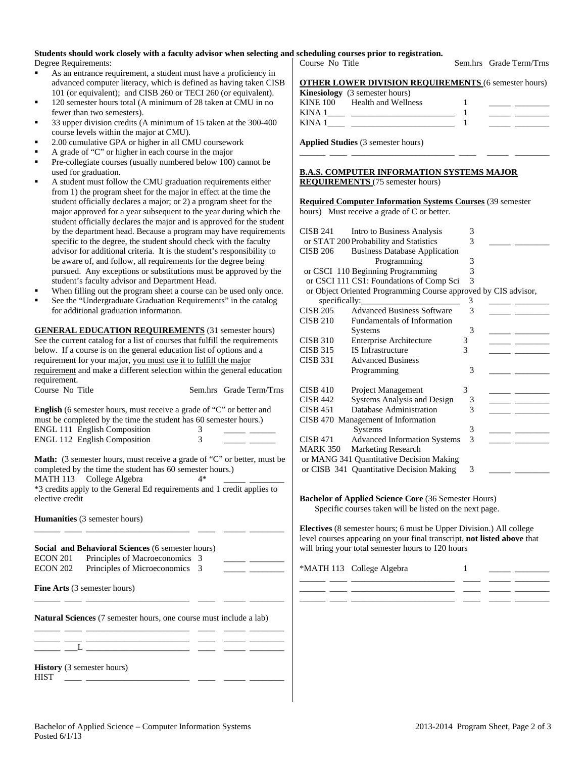# **Students should work closely with a faculty advisor when selecting and scheduling courses prior to registration.**

Degree Requirements:

- As an entrance requirement, a student must have a proficiency in advanced computer literacy, which is defined as having taken CISB 101 (or equivalent); and CISB 260 or TECI 260 (or equivalent).
- 120 semester hours total (A minimum of 28 taken at CMU in no fewer than two semesters).
- 33 upper division credits (A minimum of 15 taken at the 300-400 course levels within the major at CMU).
- 2.00 cumulative GPA or higher in all CMU coursework
- A grade of "C" or higher in each course in the major
- Pre-collegiate courses (usually numbered below 100) cannot be used for graduation.
- A student must follow the CMU graduation requirements either from 1) the program sheet for the major in effect at the time the student officially declares a major; or 2) a program sheet for the major approved for a year subsequent to the year during which the student officially declares the major and is approved for the student by the department head. Because a program may have requirements specific to the degree, the student should check with the faculty advisor for additional criteria. It is the student's responsibility to be aware of, and follow, all requirements for the degree being pursued. Any exceptions or substitutions must be approved by the student's faculty advisor and Department Head.
- When filling out the program sheet a course can be used only once.
- See the "Undergraduate Graduation Requirements" in the catalog for additional graduation information.

**GENERAL EDUCATION REQUIREMENTS** (31 semester hours) See the current catalog for a list of courses that fulfill the requirements below. If a course is on the general education list of options and a requirement for your major, you must use it to fulfill the major requirement and make a different selection within the general education requirement. Course No Title Sem.hrs Grade Term/Trns

| <b>English</b> (6 semester hours, must receive a grade of "C" or better and |   |  |
|-----------------------------------------------------------------------------|---|--|
| must be completed by the time the student has 60 semester hours.)           |   |  |
| <b>ENGL 111 English Composition</b>                                         | 3 |  |
| <b>ENGL 112 English Composition</b>                                         | 3 |  |
|                                                                             |   |  |

**Math:** (3 semester hours, must receive a grade of "C" or better, must be completed by the time the student has 60 semester hours.) MATH 113 College Algebra 4\* \*3 credits apply to the General Ed requirements and 1 credit applies to elective credit

**Humanities** (3 semester hours)

|          | Social and Behavioral Sciences (6 semester hours) |  |  |
|----------|---------------------------------------------------|--|--|
| ECON 201 | Principles of Macroeconomics 3                    |  |  |
| ECON 202 | Principles of Microeconomics 3                    |  |  |
|          |                                                   |  |  |

\_\_\_\_\_\_ \_\_\_\_ \_\_\_\_\_\_\_\_\_\_\_\_\_\_\_\_\_\_\_\_\_\_\_\_ \_\_\_\_ \_\_\_\_\_ \_\_\_\_\_\_\_\_

\_\_\_\_\_\_ \_\_\_\_ \_\_\_\_\_\_\_\_\_\_\_\_\_\_\_\_\_\_\_\_\_\_\_\_ \_\_\_\_ \_\_\_\_\_ \_\_\_\_\_\_\_\_ \_\_\_\_\_\_ \_\_\_\_ \_\_\_\_\_\_\_\_\_\_\_\_\_\_\_\_\_\_\_\_\_\_\_\_ \_\_\_\_ \_\_\_\_\_ \_\_\_\_\_\_\_\_

\_\_\_\_\_\_ \_\_\_\_ \_\_\_\_\_\_\_\_\_\_\_\_\_\_\_\_\_\_\_\_\_\_\_\_ \_\_\_\_ \_\_\_\_\_ \_\_\_\_\_\_\_\_

**Fine Arts** (3 semester hours)

**Natural Sciences** (7 semester hours, one course must include a lab)

**History** (3 semester hours)  $HIST \quad \_\_$ 

 $_ _ _ _{-}$   $_{-}$   $_{-}$ 

| Course No Title                                                                                                       | Sem.hrs Grade Term/Trns |  |  |
|-----------------------------------------------------------------------------------------------------------------------|-------------------------|--|--|
| $\alpha$ meeting a $\alpha$ existing in existing $\alpha$ is the $\alpha$ existing $\alpha$ and $\alpha$ and $\alpha$ |                         |  |  |

|  |  |  |  |  |  | <b>OTHER LOWER DIVISION REQUIREMENTS (6 semester hours)</b> |  |
|--|--|--|--|--|--|-------------------------------------------------------------|--|
|  |  |  |  |  |  |                                                             |  |

|        | <b>Kinesiology</b> (3 semester hours) |  |  |
|--------|---------------------------------------|--|--|
|        | KINE 100 Health and Wellness          |  |  |
| KINA 1 |                                       |  |  |
| KINA 1 |                                       |  |  |
|        |                                       |  |  |

\_\_\_\_\_\_ \_\_\_\_ \_\_\_\_\_\_\_\_\_\_\_\_\_\_\_\_\_\_\_\_\_\_\_\_ \_\_\_\_ \_\_\_\_\_ \_\_\_\_\_\_\_\_

**Applied Studies** (3 semester hours)

#### **B.A.S. COMPUTER INFORMATION SYSTEMS MAJOR REQUIREMENTS** (75 semester hours)

**Required Computer Information Systems Courses** (39 semester

hours) Must receive a grade of C or better.

| CISB 241        | Intro to Business Analysis                                     | 3 |  |
|-----------------|----------------------------------------------------------------|---|--|
|                 | or STAT 200 Probability and Statistics                         | 3 |  |
| <b>CISB 206</b> | <b>Business Database Application</b>                           |   |  |
|                 | Programming                                                    | 3 |  |
|                 | or CSCI 110 Beginning Programming                              | 3 |  |
|                 | or CSCI 111 CS1: Foundations of Comp Sci                       | 3 |  |
|                 | or Object Oriented Programming Course approved by CIS advisor, |   |  |
|                 |                                                                | 3 |  |
| <b>CISB 205</b> | <b>Advanced Business Software</b>                              | 3 |  |
| <b>CISB 210</b> | <b>Fundamentals of Information</b>                             |   |  |
|                 | <b>Systems</b>                                                 | 3 |  |
| <b>CISB 310</b> | <b>Enterprise Architecture</b>                                 | 3 |  |
| <b>CISB 315</b> | <b>IS Infrastructure</b>                                       | 3 |  |
| <b>CISB 331</b> | <b>Advanced Business</b>                                       |   |  |
|                 | Programming                                                    | 3 |  |
|                 |                                                                |   |  |
| CISE 410        | Project Management                                             | 3 |  |
| <b>CISB 442</b> | Systems Analysis and Design                                    | 3 |  |
| <b>CISB 451</b> | Database Administration                                        | 3 |  |
|                 | CISB 470 Management of Information                             |   |  |
|                 | Systems                                                        | 3 |  |
| <b>CISB 471</b> | <b>Advanced Information Systems</b>                            | 3 |  |
| <b>MARK 350</b> | <b>Marketing Research</b>                                      |   |  |
|                 | or MANG 341 Quantitative Decision Making                       |   |  |
|                 | or CISB 341 Quantitative Decision Making                       | 3 |  |

**Bachelor of Applied Science Core** (36 Semester Hours) Specific courses taken will be listed on the next page.

**Electives** (8 semester hours; 6 must be Upper Division.) All college level courses appearing on your final transcript, **not listed above** that will bring your total semester hours to 120 hours

\_\_\_\_\_\_ \_\_\_\_ \_\_\_\_\_\_\_\_\_\_\_\_\_\_\_\_\_\_\_\_\_\_\_\_ \_\_\_\_ \_\_\_\_\_ \_\_\_\_\_\_\_\_ \_\_\_\_\_\_ \_\_\_\_ \_\_\_\_\_\_\_\_\_\_\_\_\_\_\_\_\_\_\_\_\_\_\_\_ \_\_\_\_ \_\_\_\_\_ \_\_\_\_\_\_\_\_ \_\_\_\_\_\_ \_\_\_\_ \_\_\_\_\_\_\_\_\_\_\_\_\_\_\_\_\_\_\_\_\_\_\_\_ \_\_\_\_ \_\_\_\_\_ \_\_\_\_\_\_\_\_

\*MATH 113 College Algebra 1